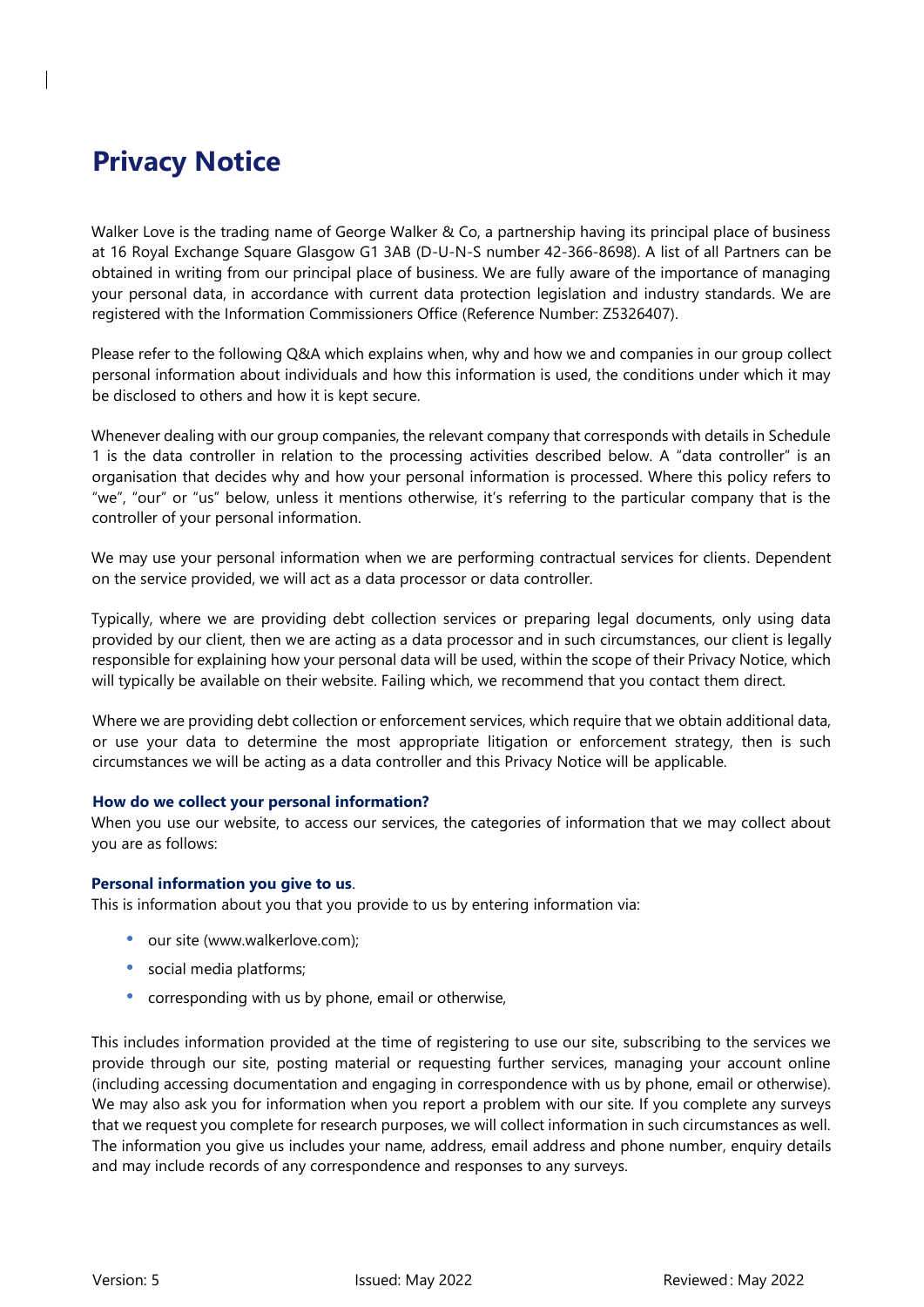# **Privacy Notice**

Walker Love is the trading name of George Walker & Co, a partnership having its principal place of business at 16 Royal Exchange Square Glasgow G1 3AB (D-U-N-S number 42-366-8698). A list of all Partners can be obtained in writing from our principal place of business. We are fully aware of the importance of managing your personal data, in accordance with current data protection legislation and industry standards. We are registered with the Information Commissioners Office (Reference Number: Z5326407).

Please refer to the following Q&A which explains when, why and how we and companies in our group collect personal information about individuals and how this information is used, the conditions under which it may be disclosed to others and how it is kept secure.

Whenever dealing with our group companies, the relevant company that corresponds with details in Schedule 1 is the data controller in relation to the processing activities described below. A "data controller" is an organisation that decides why and how your personal information is processed. Where this policy refers to "we", "our" or "us" below, unless it mentions otherwise, it's referring to the particular company that is the controller of your personal information.

We may use your personal information when we are performing contractual services for clients. Dependent on the service provided, we will act as a data processor or data controller.

Typically, where we are providing debt collection services or preparing legal documents, only using data provided by our client, then we are acting as a data processor and in such circumstances, our client is legally responsible for explaining how your personal data will be used, within the scope of their Privacy Notice, which will typically be available on their website. Failing which, we recommend that you contact them direct.

Where we are providing debt collection or enforcement services, which require that we obtain additional data, or use your data to determine the most appropriate litigation or enforcement strategy, then is such circumstances we will be acting as a data controller and this Privacy Notice will be applicable.

## **How do we collect your personal information?**

When you use our website, to access our services, the categories of information that we may collect about you are as follows:

## **Personal information you give to us**.

This is information about you that you provide to us by entering information via:

- our site (www.walkerlove.com);
- social media platforms;
- corresponding with us by phone, email or otherwise,

This includes information provided at the time of registering to use our site, subscribing to the services we provide through our site, posting material or requesting further services, managing your account online (including accessing documentation and engaging in correspondence with us by phone, email or otherwise). We may also ask you for information when you report a problem with our site. If you complete any surveys that we request you complete for research purposes, we will collect information in such circumstances as well. The information you give us includes your name, address, email address and phone number, enquiry details and may include records of any correspondence and responses to any surveys.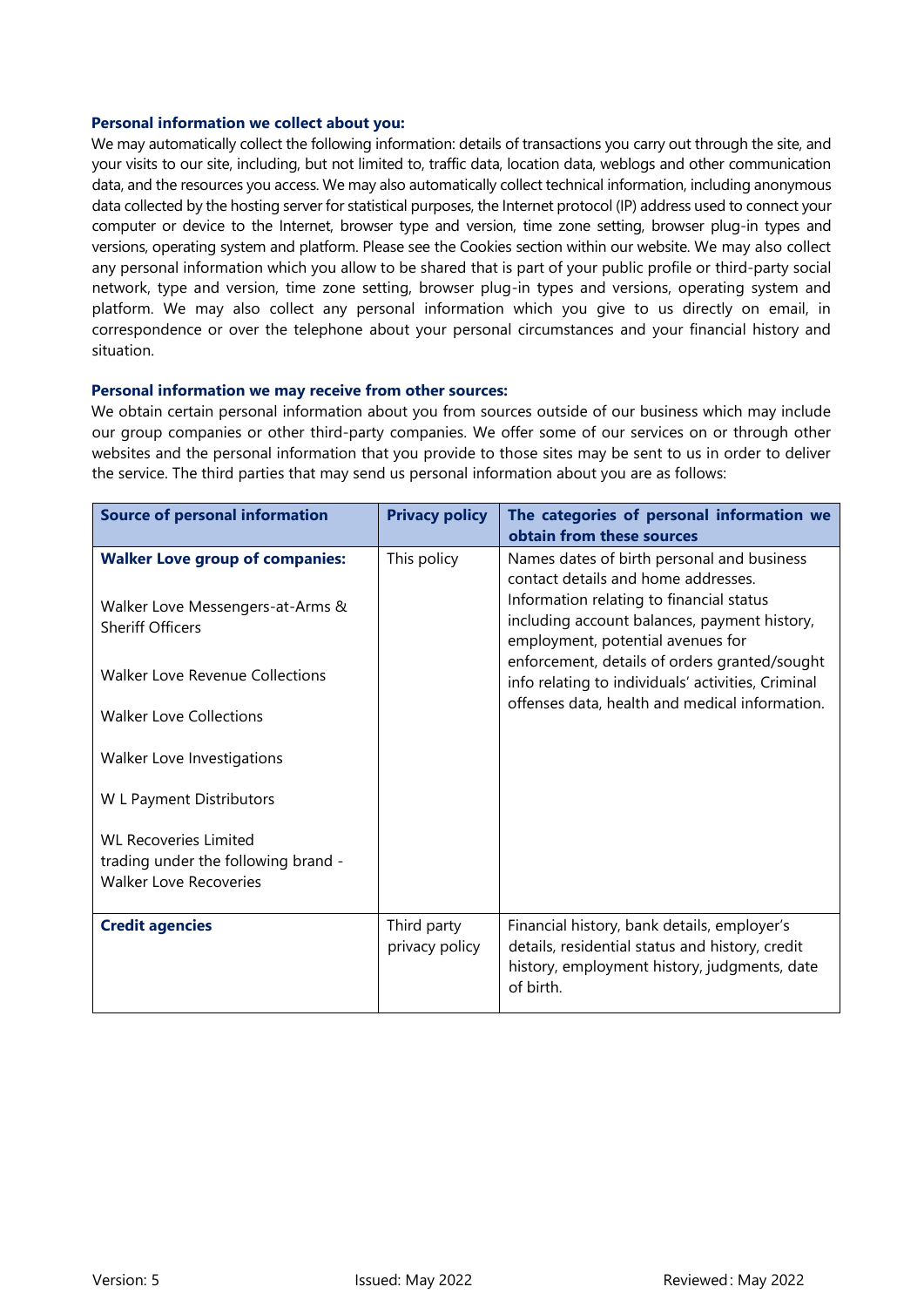#### **Personal information we collect about you:**

We may automatically collect the following information: details of transactions you carry out through the site, and your visits to our site, including, but not limited to, traffic data, location data, weblogs and other communication data, and the resources you access. We may also automatically collect technical information, including anonymous data collected by the hosting server for statistical purposes, the Internet protocol (IP) address used to connect your computer or device to the Internet, browser type and version, time zone setting, browser plug-in types and versions, operating system and platform. Please see the Cookies section within our website. We may also collect any personal information which you allow to be shared that is part of your public profile or third-party social network, type and version, time zone setting, browser plug-in types and versions, operating system and platform. We may also collect any personal information which you give to us directly on email, in correspondence or over the telephone about your personal circumstances and your financial history and situation.

## **Personal information we may receive from other sources:**

We obtain certain personal information about you from sources outside of our business which may include our group companies or other third-party companies. We offer some of our services on or through other websites and the personal information that you provide to those sites may be sent to us in order to deliver the service. The third parties that may send us personal information about you are as follows:

| <b>Source of personal information</b>                                                                 | <b>Privacy policy</b>         | The categories of personal information we<br>obtain from these sources                                                                                                                                                                                                                                                    |
|-------------------------------------------------------------------------------------------------------|-------------------------------|---------------------------------------------------------------------------------------------------------------------------------------------------------------------------------------------------------------------------------------------------------------------------------------------------------------------------|
| <b>Walker Love group of companies:</b><br>Walker Love Messengers-at-Arms &<br><b>Sheriff Officers</b> | This policy                   | Names dates of birth personal and business<br>contact details and home addresses.<br>Information relating to financial status<br>including account balances, payment history,<br>employment, potential avenues for<br>enforcement, details of orders granted/sought<br>info relating to individuals' activities, Criminal |
| <b>Walker Love Revenue Collections</b>                                                                |                               |                                                                                                                                                                                                                                                                                                                           |
| <b>Walker Love Collections</b>                                                                        |                               | offenses data, health and medical information.                                                                                                                                                                                                                                                                            |
| Walker Love Investigations                                                                            |                               |                                                                                                                                                                                                                                                                                                                           |
| W L Payment Distributors                                                                              |                               |                                                                                                                                                                                                                                                                                                                           |
| <b>WL Recoveries Limited</b><br>trading under the following brand -<br><b>Walker Love Recoveries</b>  |                               |                                                                                                                                                                                                                                                                                                                           |
| <b>Credit agencies</b>                                                                                | Third party<br>privacy policy | Financial history, bank details, employer's<br>details, residential status and history, credit<br>history, employment history, judgments, date<br>of birth.                                                                                                                                                               |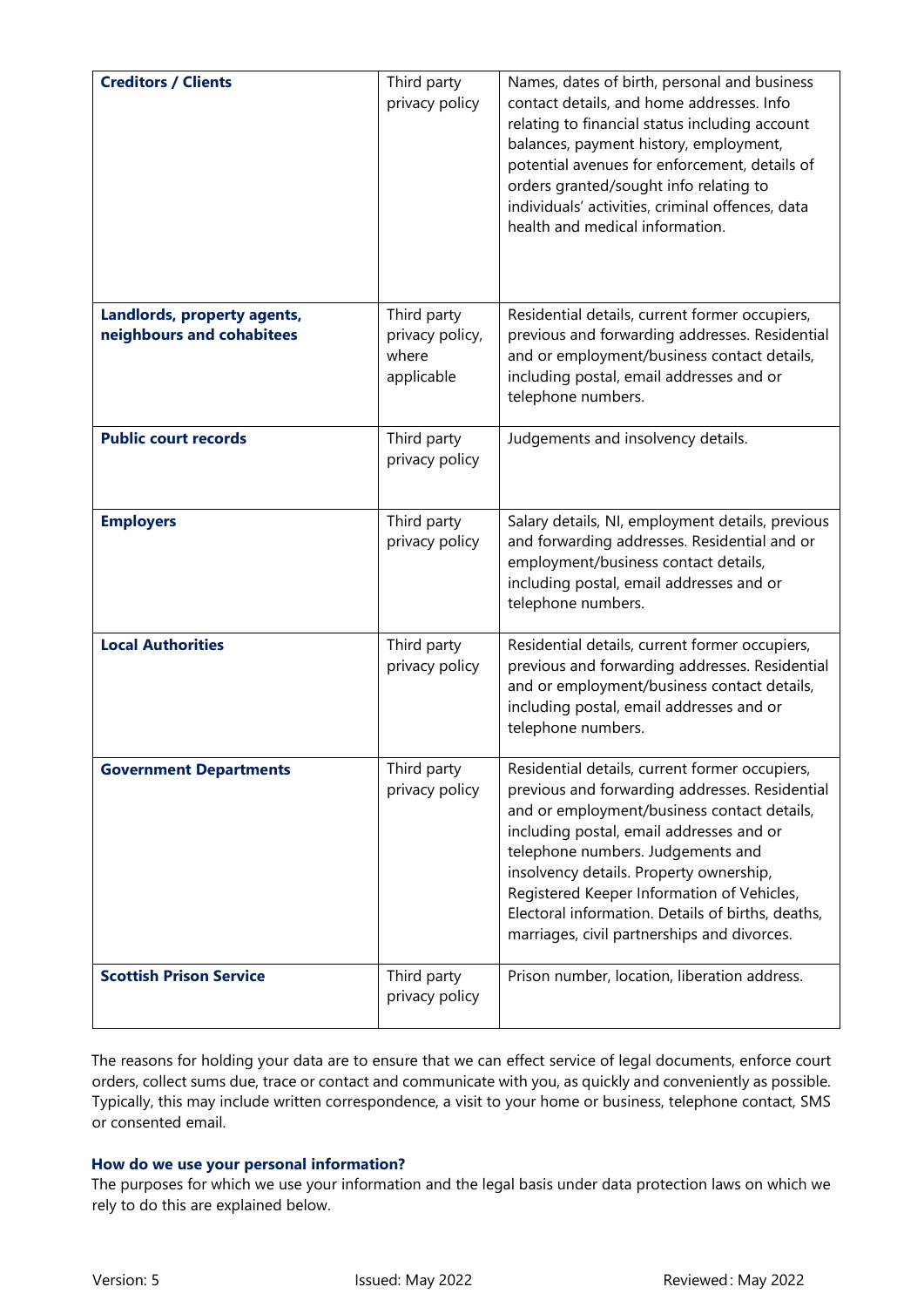| <b>Creditors / Clients</b>                               | Third party<br>privacy policy                         | Names, dates of birth, personal and business<br>contact details, and home addresses. Info<br>relating to financial status including account<br>balances, payment history, employment,<br>potential avenues for enforcement, details of<br>orders granted/sought info relating to<br>individuals' activities, criminal offences, data<br>health and medical information.                                                       |  |
|----------------------------------------------------------|-------------------------------------------------------|-------------------------------------------------------------------------------------------------------------------------------------------------------------------------------------------------------------------------------------------------------------------------------------------------------------------------------------------------------------------------------------------------------------------------------|--|
| Landlords, property agents,<br>neighbours and cohabitees | Third party<br>privacy policy,<br>where<br>applicable | Residential details, current former occupiers,<br>previous and forwarding addresses. Residential<br>and or employment/business contact details,<br>including postal, email addresses and or<br>telephone numbers.                                                                                                                                                                                                             |  |
| <b>Public court records</b>                              | Third party<br>privacy policy                         | Judgements and insolvency details.                                                                                                                                                                                                                                                                                                                                                                                            |  |
| <b>Employers</b>                                         | Third party<br>privacy policy                         | Salary details, NI, employment details, previous<br>and forwarding addresses. Residential and or<br>employment/business contact details,<br>including postal, email addresses and or<br>telephone numbers.                                                                                                                                                                                                                    |  |
| <b>Local Authorities</b>                                 | Third party<br>privacy policy                         | Residential details, current former occupiers,<br>previous and forwarding addresses. Residential<br>and or employment/business contact details,<br>including postal, email addresses and or<br>telephone numbers.                                                                                                                                                                                                             |  |
| <b>Government Departments</b>                            | Third party<br>privacy policy                         | Residential details, current former occupiers,<br>previous and forwarding addresses. Residential<br>and or employment/business contact details,<br>including postal, email addresses and or<br>telephone numbers. Judgements and<br>insolvency details. Property ownership,<br>Registered Keeper Information of Vehicles,<br>Electoral information. Details of births, deaths,<br>marriages, civil partnerships and divorces. |  |
| <b>Scottish Prison Service</b>                           | Third party<br>privacy policy                         | Prison number, location, liberation address.                                                                                                                                                                                                                                                                                                                                                                                  |  |

The reasons for holding your data are to ensure that we can effect service of legal documents, enforce court orders, collect sums due, trace or contact and communicate with you, as quickly and conveniently as possible. Typically, this may include written correspondence, a visit to your home or business, telephone contact, SMS or consented email.

# **How do we use your personal information?**

The purposes for which we use your information and the legal basis under data protection laws on which we rely to do this are explained below.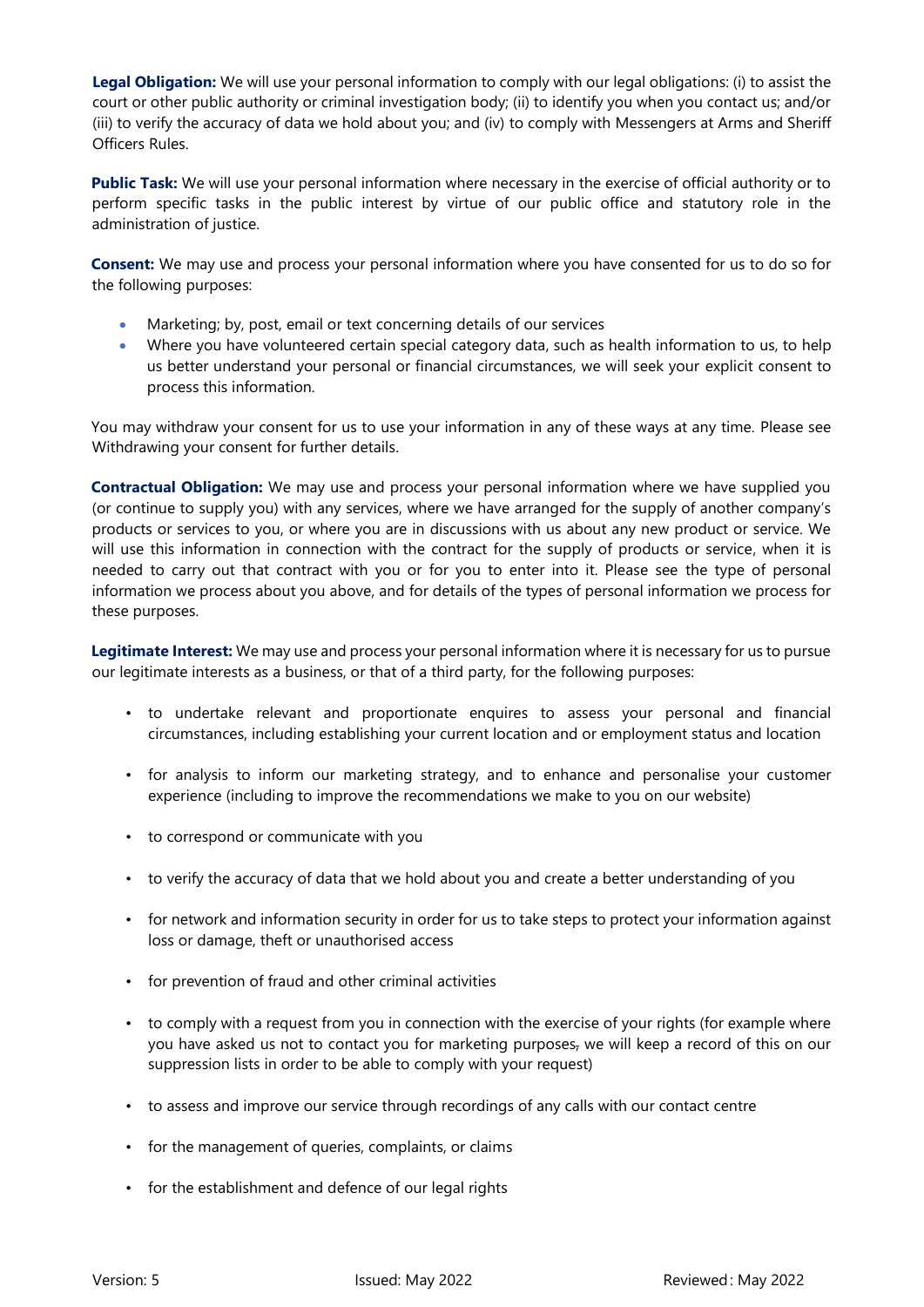**Legal Obligation:** We will use your personal information to comply with our legal obligations: (i) to assist the court or other public authority or criminal investigation body; (ii) to identify you when you contact us; and/or (iii) to verify the accuracy of data we hold about you; and (iv) to comply with Messengers at Arms and Sheriff Officers Rules.

**Public Task:** We will use your personal information where necessary in the exercise of official authority or to perform specific tasks in the public interest by virtue of our public office and statutory role in the administration of justice.

**Consent:** We may use and process your personal information where you have consented for us to do so for the following purposes:

- Marketing; by, post, email or text concerning details of our services
- Where you have volunteered certain special category data, such as health information to us, to help us better understand your personal or financial circumstances, we will seek your explicit consent to process this information.

You may withdraw your consent for us to use your information in any of these ways at any time. Please see Withdrawing your consent for further details.

**Contractual Obligation:** We may use and process your personal information where we have supplied you (or continue to supply you) with any services, where we have arranged for the supply of another company's products or services to you, or where you are in discussions with us about any new product or service. We will use this information in connection with the contract for the supply of products or service, when it is needed to carry out that contract with you or for you to enter into it. Please see the type of personal information we process about you above, and for details of the types of personal information we process for these purposes.

**Legitimate Interest:** We may use and process your personal information where it is necessary for us to pursue our legitimate interests as a business, or that of a third party, for the following purposes:

- to undertake relevant and proportionate enquires to assess your personal and financial circumstances, including establishing your current location and or employment status and location
- for analysis to inform our marketing strategy, and to enhance and personalise your customer experience (including to improve the recommendations we make to you on our website)
- to correspond or communicate with you
- to verify the accuracy of data that we hold about you and create a better understanding of you
- for network and information security in order for us to take steps to protect your information against loss or damage, theft or unauthorised access
- for prevention of fraud and other criminal activities
- to comply with a request from you in connection with the exercise of your rights (for example where you have asked us not to contact you for marketing purposes, we will keep a record of this on our suppression lists in order to be able to comply with your request)
- to assess and improve our service through recordings of any calls with our contact centre
- for the management of queries, complaints, or claims
- for the establishment and defence of our legal rights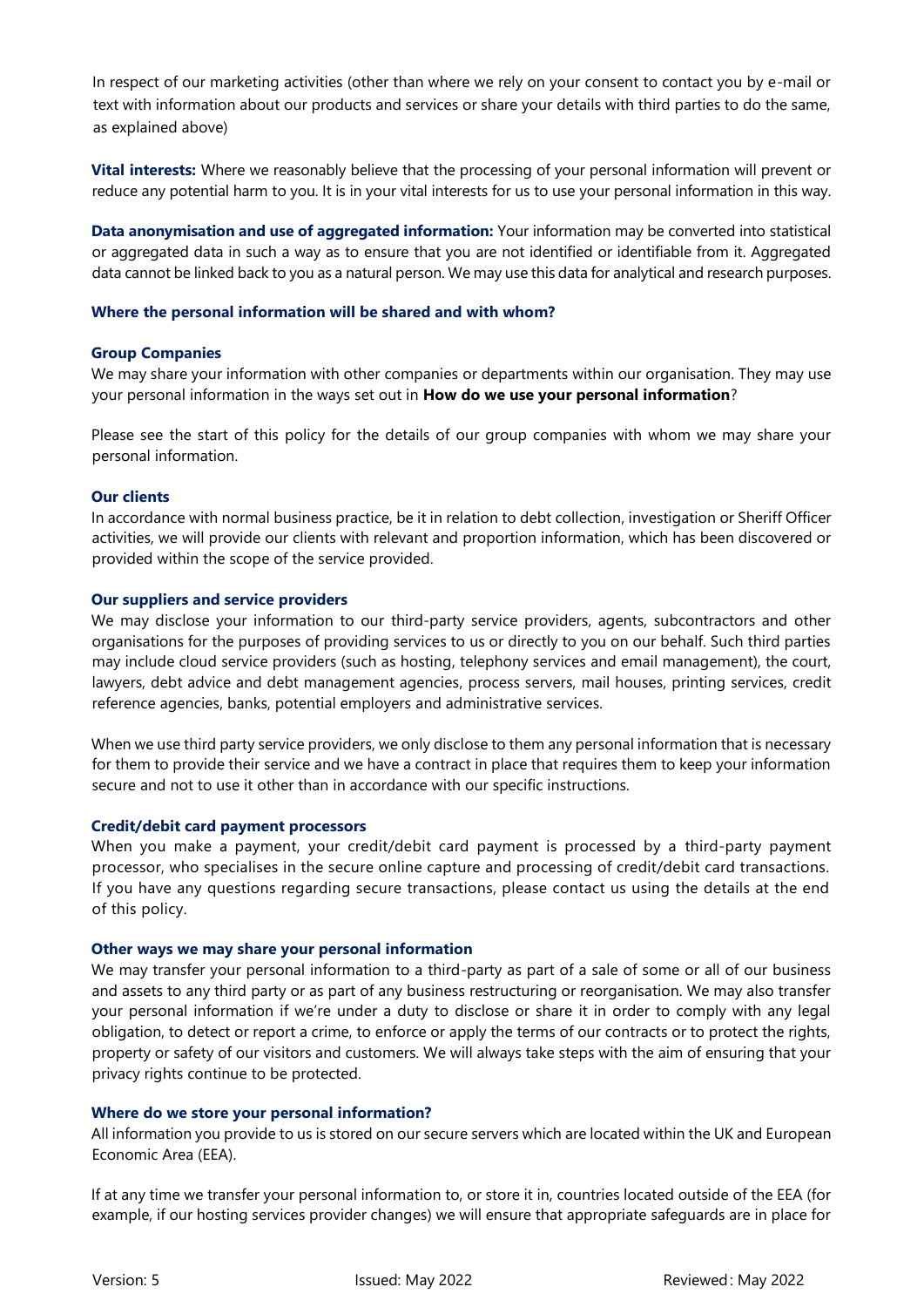In respect of our marketing activities (other than where we rely on your consent to contact you by e-mail or text with information about our products and services or share your details with third parties to do the same, as explained above)

**Vital interests:** Where we reasonably believe that the processing of your personal information will prevent or reduce any potential harm to you. It is in your vital interests for us to use your personal information in this way.

**Data anonymisation and use of aggregated information:** Your information may be converted into statistical or aggregated data in such a way as to ensure that you are not identified or identifiable from it. Aggregated data cannot be linked back to you as a natural person. We may use this data for analytical and research purposes.

## **Where the personal information will be shared and with whom?**

#### **Group Companies**

We may share your information with other companies or departments within our organisation. They may use your personal information in the ways set out in **How do we use your personal information**?

Please see the start of this policy for the details of our group companies with whom we may share your personal information.

#### **Our clients**

In accordance with normal business practice, be it in relation to debt collection, investigation or Sheriff Officer activities, we will provide our clients with relevant and proportion information, which has been discovered or provided within the scope of the service provided.

#### **Our suppliers and service providers**

We may disclose your information to our third-party service providers, agents, subcontractors and other organisations for the purposes of providing services to us or directly to you on our behalf. Such third parties may include cloud service providers (such as hosting, telephony services and email management), the court, lawyers, debt advice and debt management agencies, process servers, mail houses, printing services, credit reference agencies, banks, potential employers and administrative services.

When we use third party service providers, we only disclose to them any personal information that is necessary for them to provide their service and we have a contract in place that requires them to keep your information secure and not to use it other than in accordance with our specific instructions.

#### **Credit/debit card payment processors**

When you make a payment, your credit/debit card payment is processed by a third-party payment processor, who specialises in the secure online capture and processing of credit/debit card transactions. If you have any questions regarding secure transactions, please contact us using the details at the end of this policy.

#### **Other ways we may share your personal information**

We may transfer your personal information to a third-party as part of a sale of some or all of our business and assets to any third party or as part of any business restructuring or reorganisation. We may also transfer your personal information if we're under a duty to disclose or share it in order to comply with any legal obligation, to detect or report a crime, to enforce or apply the terms of our contracts or to protect the rights, property or safety of our visitors and customers. We will always take steps with the aim of ensuring that your privacy rights continue to be protected.

## **Where do we store your personal information?**

All information you provide to us is stored on our secure servers which are located within the UK and European Economic Area (EEA).

If at any time we transfer your personal information to, or store it in, countries located outside of the EEA (for example, if our hosting services provider changes) we will ensure that appropriate safeguards are in place for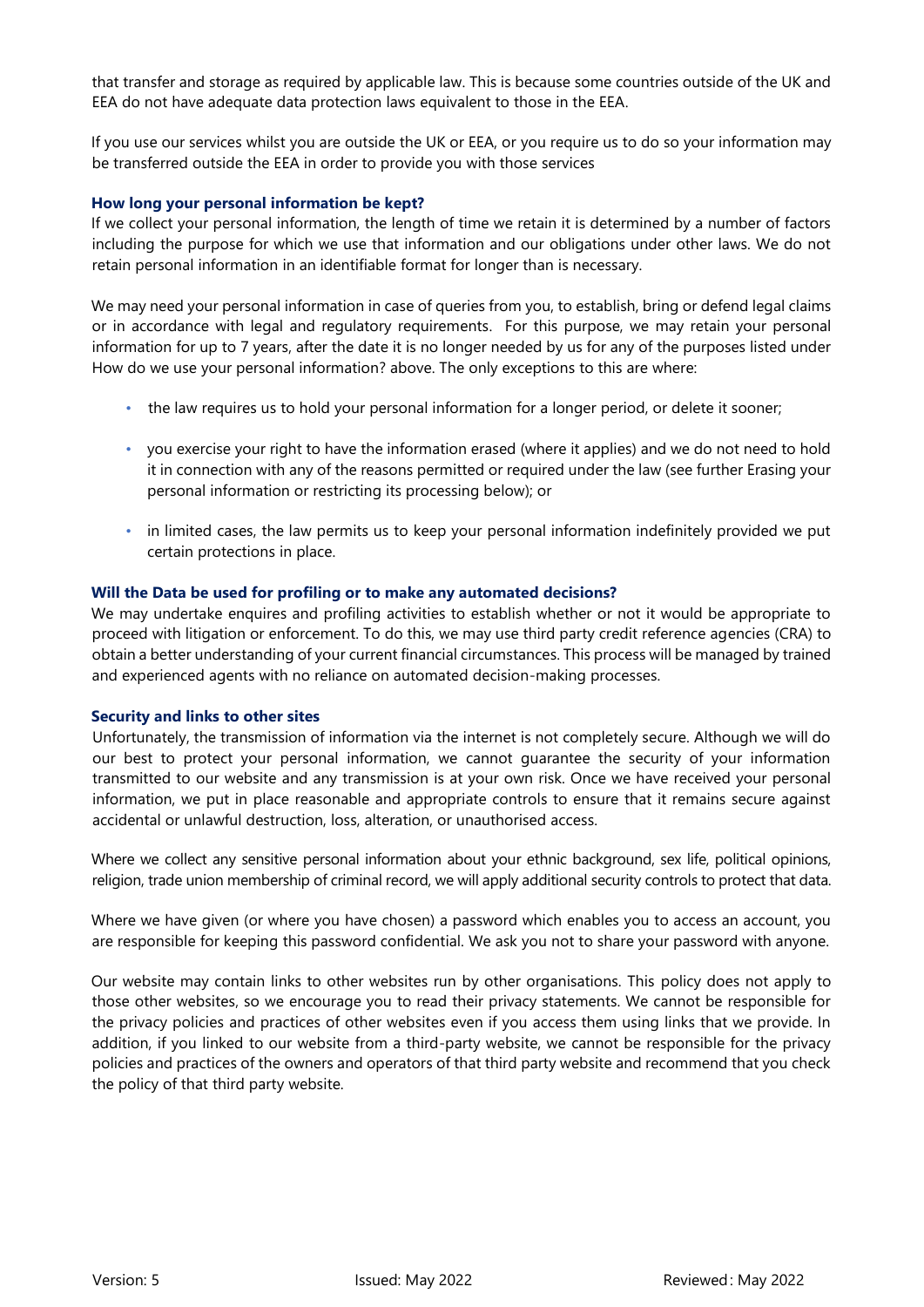that transfer and storage as required by applicable law. This is because some countries outside of the UK and EEA do not have adequate data protection laws equivalent to those in the EEA.

If you use our services whilst you are outside the UK or EEA, or you require us to do so your information may be transferred outside the EEA in order to provide you with those services

## **How long your personal information be kept?**

If we collect your personal information, the length of time we retain it is determined by a number of factors including the purpose for which we use that information and our obligations under other laws. We do not retain personal information in an identifiable format for longer than is necessary.

We may need your personal information in case of queries from you, to establish, bring or defend legal claims or in accordance with legal and regulatory requirements. For this purpose, we may retain your personal information for up to 7 years, after the date it is no longer needed by us for any of the purposes listed under How do we use your personal information? above. The only exceptions to this are where:

- the law requires us to hold your personal information for a longer period, or delete it sooner;
- you exercise your right to have the information erased (where it applies) and we do not need to hold it in connection with any of the reasons permitted or required under the law (see further Erasing your personal information or restricting its processing below); or
- in limited cases, the law permits us to keep your personal information indefinitely provided we put certain protections in place.

#### **Will the Data be used for profiling or to make any automated decisions?**

We may undertake enquires and profiling activities to establish whether or not it would be appropriate to proceed with litigation or enforcement. To do this, we may use third party credit reference agencies (CRA) to obtain a better understanding of your current financial circumstances. This process will be managed by trained and experienced agents with no reliance on automated decision-making processes.

#### **Security and links to other sites**

Unfortunately, the transmission of information via the internet is not completely secure. Although we will do our best to protect your personal information, we cannot guarantee the security of your information transmitted to our website and any transmission is at your own risk. Once we have received your personal information, we put in place reasonable and appropriate controls to ensure that it remains secure against accidental or unlawful destruction, loss, alteration, or unauthorised access.

Where we collect any sensitive personal information about your ethnic background, sex life, political opinions, religion, trade union membership of criminal record, we will apply additional security controls to protect that data.

Where we have given (or where you have chosen) a password which enables you to access an account, you are responsible for keeping this password confidential. We ask you not to share your password with anyone.

Our website may contain links to other websites run by other organisations. This policy does not apply to those other websites, so we encourage you to read their privacy statements. We cannot be responsible for the privacy policies and practices of other websites even if you access them using links that we provide. In addition, if you linked to our website from a third-party website, we cannot be responsible for the privacy policies and practices of the owners and operators of that third party website and recommend that you check the policy of that third party website.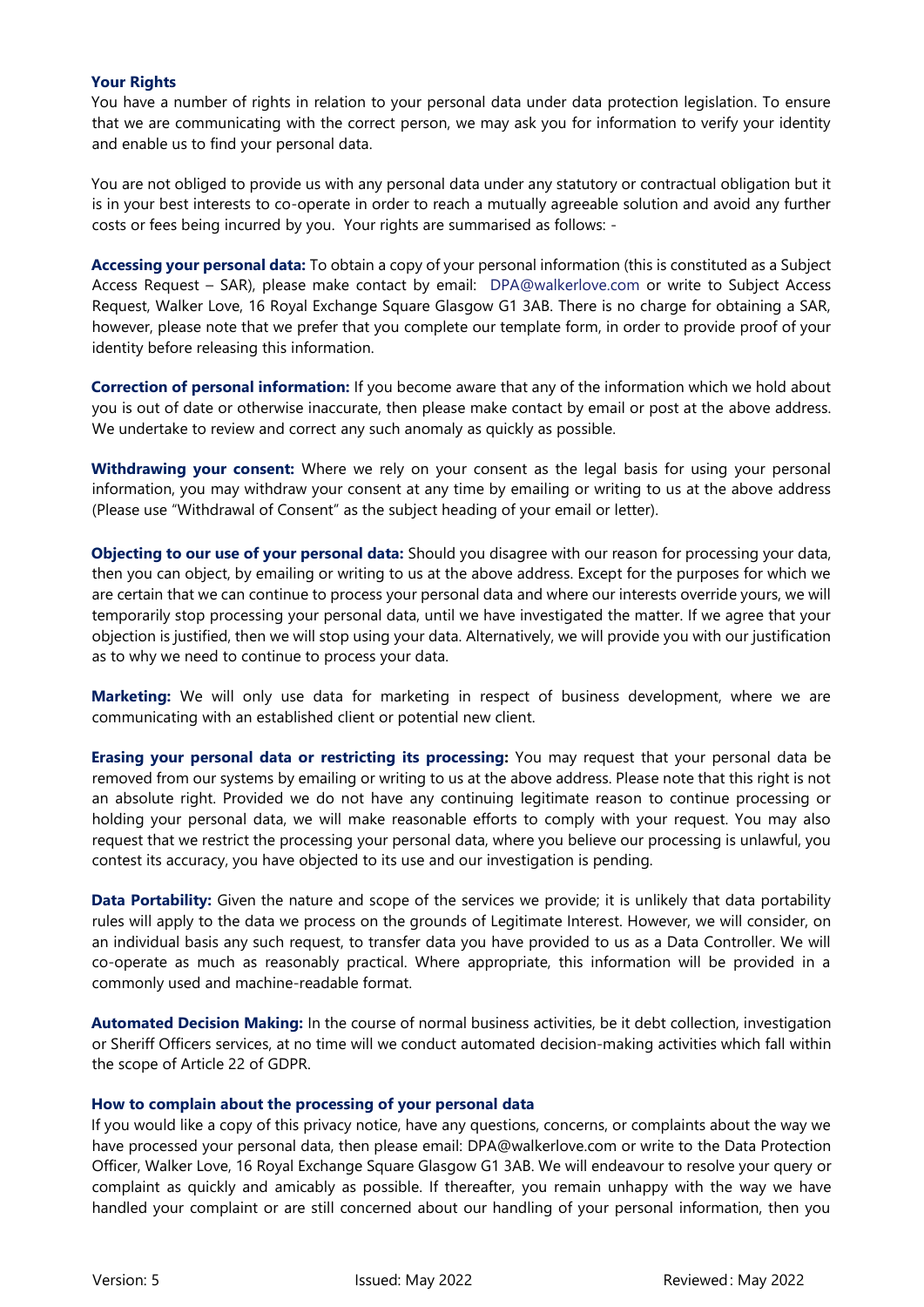## **Your Rights**

You have a number of rights in relation to your personal data under data protection legislation. To ensure that we are communicating with the correct person, we may ask you for information to verify your identity and enable us to find your personal data.

You are not obliged to provide us with any personal data under any statutory or contractual obligation but it is in your best interests to co-operate in order to reach a mutually agreeable solution and avoid any further costs or fees being incurred by you. Your rights are summarised as follows: -

**Accessing your personal data:** To obtain a copy of your personal information (this is constituted as a Subject Access Request – SAR), please make contact by email: DPA@walkerlove.com or write to Subject Access Request, Walker Love, 16 Royal Exchange Square Glasgow G1 3AB. There is no charge for obtaining a SAR, however, please note that we prefer that you complete our template form, in order to provide proof of your identity before releasing this information.

**Correction of personal information:** If you become aware that any of the information which we hold about you is out of date or otherwise inaccurate, then please make contact by email or post at the above address. We undertake to review and correct any such anomaly as quickly as possible.

**Withdrawing your consent:** Where we rely on your consent as the legal basis for using your personal information, you may withdraw your consent at any time by emailing or writing to us at the above address (Please use "Withdrawal of Consent" as the subject heading of your email or letter).

**Objecting to our use of your personal data:** Should you disagree with our reason for processing your data, then you can object, by emailing or writing to us at the above address. Except for the purposes for which we are certain that we can continue to process your personal data and where our interests override yours, we will temporarily stop processing your personal data, until we have investigated the matter. If we agree that your objection is justified, then we will stop using your data. Alternatively, we will provide you with our justification as to why we need to continue to process your data.

**Marketing:** We will only use data for marketing in respect of business development, where we are communicating with an established client or potential new client.

**Erasing your personal data or restricting its processing:** You may request that your personal data be removed from our systems by emailing or writing to us at the above address. Please note that this right is not an absolute right. Provided we do not have any continuing legitimate reason to continue processing or holding your personal data, we will make reasonable efforts to comply with your request. You may also request that we restrict the processing your personal data, where you believe our processing is unlawful, you contest its accuracy, you have objected to its use and our investigation is pending.

**Data Portability:** Given the nature and scope of the services we provide; it is unlikely that data portability rules will apply to the data we process on the grounds of Legitimate Interest. However, we will consider, on an individual basis any such request, to transfer data you have provided to us as a Data Controller. We will co-operate as much as reasonably practical. Where appropriate, this information will be provided in a commonly used and machine-readable format.

**Automated Decision Making:** In the course of normal business activities, be it debt collection, investigation or Sheriff Officers services, at no time will we conduct automated decision-making activities which fall within the scope of Article 22 of GDPR.

## **How to complain about the processing of your personal data**

If you would like a copy of this privacy notice, have any questions, concerns, or complaints about the way we have processed your personal data, then please email: DPA@walkerlove.com or write to the Data Protection Officer, Walker Love, 16 Royal Exchange Square Glasgow G1 3AB. We will endeavour to resolve your query or complaint as quickly and amicably as possible. If thereafter, you remain unhappy with the way we have handled your complaint or are still concerned about our handling of your personal information, then you